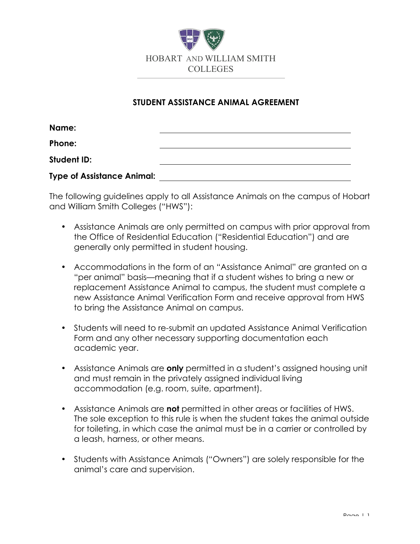

## **STUDENT ASSISTANCE ANIMAL AGREEMENT**

| Name:                             |  |
|-----------------------------------|--|
| Phone:                            |  |
| <b>Student ID:</b>                |  |
| <b>Type of Assistance Animal:</b> |  |

The following guidelines apply to all Assistance Animals on the campus of Hobart and William Smith Colleges ("HWS"):

- Assistance Animals are only permitted on campus with prior approval from the Office of Residential Education ("Residential Education") and are generally only permitted in student housing.
- Accommodations in the form of an "Assistance Animal" are granted on a "per animal" basis—meaning that if a student wishes to bring a new or replacement Assistance Animal to campus, the student must complete a new Assistance Animal Verification Form and receive approval from HWS to bring the Assistance Animal on campus.
- Students will need to re-submit an updated Assistance Animal Verification Form and any other necessary supporting documentation each academic year.
- Assistance Animals are **only** permitted in a student's assigned housing unit and must remain in the privately assigned individual living accommodation (e.g. room, suite, apartment).
- Assistance Animals are **not** permitted in other areas or facilities of HWS. The sole exception to this rule is when the student takes the animal outside for toileting, in which case the animal must be in a carrier or controlled by a leash, harness, or other means.
- Students with Assistance Animals ("Owners") are solely responsible for the animal's care and supervision.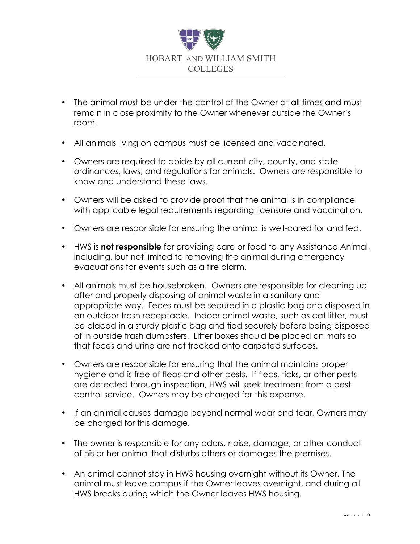

- The animal must be under the control of the Owner at all times and must remain in close proximity to the Owner whenever outside the Owner's room.
- All animals living on campus must be licensed and vaccinated.
- Owners are required to abide by all current city, county, and state ordinances, laws, and regulations for animals. Owners are responsible to know and understand these laws.
- Owners will be asked to provide proof that the animal is in compliance with applicable legal requirements regarding licensure and vaccination.
- Owners are responsible for ensuring the animal is well-cared for and fed.
- HWS is **not responsible** for providing care or food to any Assistance Animal, including, but not limited to removing the animal during emergency evacuations for events such as a fire alarm.
- All animals must be housebroken. Owners are responsible for cleaning up after and properly disposing of animal waste in a sanitary and appropriate way. Feces must be secured in a plastic bag and disposed in an outdoor trash receptacle. Indoor animal waste, such as cat litter, must be placed in a sturdy plastic bag and tied securely before being disposed of in outside trash dumpsters. Litter boxes should be placed on mats so that feces and urine are not tracked onto carpeted surfaces.
- Owners are responsible for ensuring that the animal maintains proper hygiene and is free of fleas and other pests. If fleas, ticks, or other pests are detected through inspection, HWS will seek treatment from a pest control service. Owners may be charged for this expense.
- If an animal causes damage beyond normal wear and tear, Owners may be charged for this damage.
- The owner is responsible for any odors, noise, damage, or other conduct of his or her animal that disturbs others or damages the premises.
- An animal cannot stay in HWS housing overnight without its Owner. The animal must leave campus if the Owner leaves overnight, and during all HWS breaks during which the Owner leaves HWS housing.